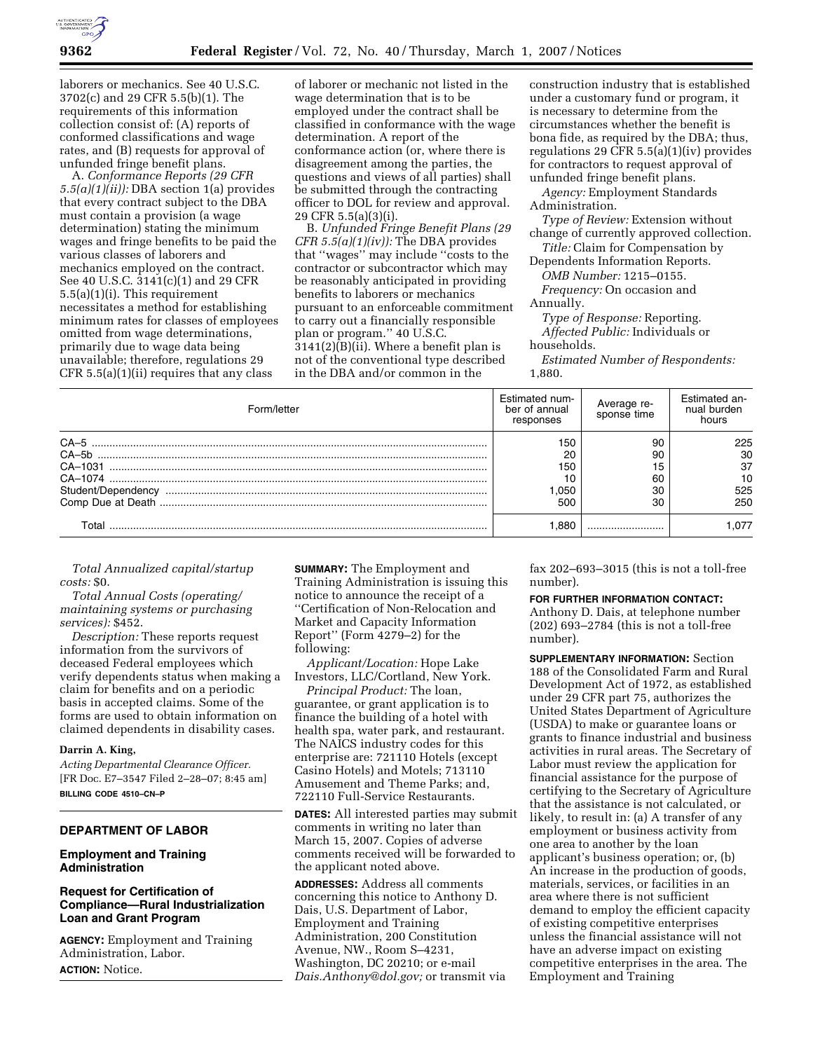

laborers or mechanics. See 40 U.S.C. 3702(c) and 29 CFR 5.5(b)(1). The requirements of this information collection consist of: (A) reports of conformed classifications and wage rates, and (B) requests for approval of unfunded fringe benefit plans.

A. *Conformance Reports (29 CFR 5.5(a)(1)(ii)):* DBA section 1(a) provides that every contract subject to the DBA must contain a provision (a wage determination) stating the minimum wages and fringe benefits to be paid the various classes of laborers and mechanics employed on the contract. See 40 U.S.C. 3141(c)(1) and 29 CFR 5.5(a)(1)(i). This requirement necessitates a method for establishing minimum rates for classes of employees omitted from wage determinations, primarily due to wage data being unavailable; therefore, regulations 29 CFR 5.5(a)(1)(ii) requires that any class

of laborer or mechanic not listed in the wage determination that is to be employed under the contract shall be classified in conformance with the wage determination. A report of the conformance action (or, where there is disagreement among the parties, the questions and views of all parties) shall be submitted through the contracting officer to DOL for review and approval. 29 CFR 5.5(a)(3)(i).

B. *Unfunded Fringe Benefit Plans (29 CFR 5.5(a)(1)(iv)):* The DBA provides that ''wages'' may include ''costs to the contractor or subcontractor which may be reasonably anticipated in providing benefits to laborers or mechanics pursuant to an enforceable commitment to carry out a financially responsible plan or program.'' 40 U.S.C. 3141(2)(B)(ii). Where a benefit plan is not of the conventional type described in the DBA and/or common in the

construction industry that is established under a customary fund or program, it is necessary to determine from the circumstances whether the benefit is bona fide, as required by the DBA; thus, regulations 29 CFR 5.5(a)(1)(iv) provides for contractors to request approval of unfunded fringe benefit plans.

*Agency:* Employment Standards Administration.

*Type of Review:* Extension without change of currently approved collection.

*Title:* Claim for Compensation by Dependents Information Reports.

*OMB Number:* 1215–0155. *Frequency:* On occasion and

Annually.

*Type of Response:* Reporting.

*Affected Public:* Individuals or households.

*Estimated Number of Respondents:*  1,880.

| Form/letter        | Estimated num-<br>ber of annual<br>responses | Average re-<br>sponse time | Estimated an-<br>nual burden<br>hours |
|--------------------|----------------------------------------------|----------------------------|---------------------------------------|
| $CA-5$             | 150                                          | 90                         | 225                                   |
| $CA-5h$            | 20                                           | 90                         | 30                                    |
|                    | 150                                          | 15                         | 37                                    |
|                    | 10                                           | 60                         | 10                                    |
| Student/Dependency | 050. ا                                       | 30                         | 525                                   |
|                    | 500                                          | 30                         | 250                                   |
| Γotal              | .880                                         |                            | .077                                  |

*Total Annualized capital/startup costs:* \$0.

*Total Annual Costs (operating/ maintaining systems or purchasing services):* \$452.

*Description:* These reports request information from the survivors of deceased Federal employees which verify dependents status when making a claim for benefits and on a periodic basis in accepted claims. Some of the forms are used to obtain information on claimed dependents in disability cases.

### **Darrin A. King,**

*Acting Departmental Clearance Officer.*  [FR Doc. E7–3547 Filed 2–28–07; 8:45 am] **BILLING CODE 4510–CN–P** 

# **DEPARTMENT OF LABOR**

### **Employment and Training Administration**

# **Request for Certification of Compliance—Rural Industrialization Loan and Grant Program**

**AGENCY:** Employment and Training Administration, Labor. **ACTION:** Notice.

**SUMMARY:** The Employment and Training Administration is issuing this notice to announce the receipt of a ''Certification of Non-Relocation and Market and Capacity Information Report'' (Form 4279–2) for the following:

*Applicant/Location:* Hope Lake Investors, LLC/Cortland, New York.

*Principal Product:* The loan, guarantee, or grant application is to finance the building of a hotel with health spa, water park, and restaurant. The NAICS industry codes for this enterprise are: 721110 Hotels (except Casino Hotels) and Motels; 713110 Amusement and Theme Parks; and, 722110 Full-Service Restaurants.

**DATES:** All interested parties may submit comments in writing no later than March 15, 2007. Copies of adverse comments received will be forwarded to the applicant noted above.

**ADDRESSES:** Address all comments concerning this notice to Anthony D. Dais, U.S. Department of Labor, Employment and Training Administration, 200 Constitution Avenue, NW., Room S–4231, Washington, DC 20210; or e-mail *Dais.Anthony@dol.gov;* or transmit via fax 202–693–3015 (this is not a toll-free number).

#### **FOR FURTHER INFORMATION CONTACT:**

Anthony D. Dais, at telephone number (202) 693–2784 (this is not a toll-free number).

**SUPPLEMENTARY INFORMATION:** Section 188 of the Consolidated Farm and Rural Development Act of 1972, as established under 29 CFR part 75, authorizes the United States Department of Agriculture (USDA) to make or guarantee loans or grants to finance industrial and business activities in rural areas. The Secretary of Labor must review the application for financial assistance for the purpose of certifying to the Secretary of Agriculture that the assistance is not calculated, or likely, to result in: (a) A transfer of any employment or business activity from one area to another by the loan applicant's business operation; or, (b) An increase in the production of goods, materials, services, or facilities in an area where there is not sufficient demand to employ the efficient capacity of existing competitive enterprises unless the financial assistance will not have an adverse impact on existing competitive enterprises in the area. The Employment and Training